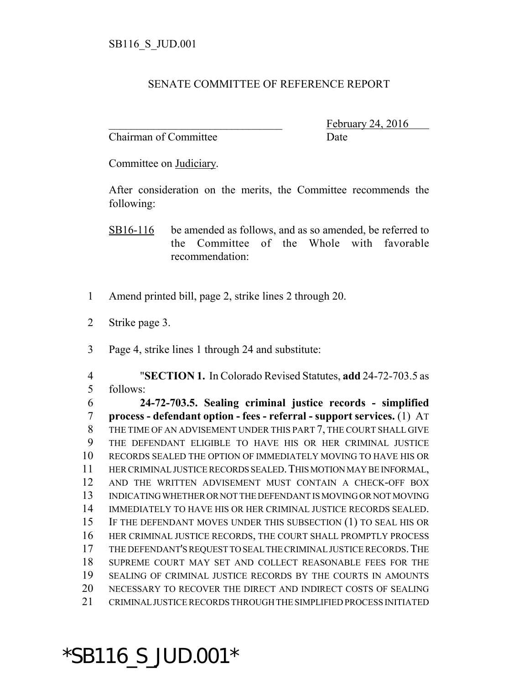## SENATE COMMITTEE OF REFERENCE REPORT

Chairman of Committee **Date** 

February 24, 2016

Committee on Judiciary.

After consideration on the merits, the Committee recommends the following:

SB16-116 be amended as follows, and as so amended, be referred to the Committee of the Whole with favorable recommendation:

- Amend printed bill, page 2, strike lines 2 through 20.
- Strike page 3.
- Page 4, strike lines 1 through 24 and substitute:

 "**SECTION 1.** In Colorado Revised Statutes, **add** 24-72-703.5 as follows:

 **24-72-703.5. Sealing criminal justice records - simplified process - defendant option - fees - referral - support services.** (1) AT THE TIME OF AN ADVISEMENT UNDER THIS PART 7, THE COURT SHALL GIVE THE DEFENDANT ELIGIBLE TO HAVE HIS OR HER CRIMINAL JUSTICE RECORDS SEALED THE OPTION OF IMMEDIATELY MOVING TO HAVE HIS OR HER CRIMINAL JUSTICE RECORDS SEALED.THIS MOTION MAY BE INFORMAL, AND THE WRITTEN ADVISEMENT MUST CONTAIN A CHECK-OFF BOX INDICATING WHETHER OR NOT THE DEFENDANT IS MOVING OR NOT MOVING IMMEDIATELY TO HAVE HIS OR HER CRIMINAL JUSTICE RECORDS SEALED. IF THE DEFENDANT MOVES UNDER THIS SUBSECTION (1) TO SEAL HIS OR HER CRIMINAL JUSTICE RECORDS, THE COURT SHALL PROMPTLY PROCESS THE DEFENDANT'S REQUEST TO SEAL THE CRIMINAL JUSTICE RECORDS.THE SUPREME COURT MAY SET AND COLLECT REASONABLE FEES FOR THE SEALING OF CRIMINAL JUSTICE RECORDS BY THE COURTS IN AMOUNTS NECESSARY TO RECOVER THE DIRECT AND INDIRECT COSTS OF SEALING CRIMINAL JUSTICE RECORDS THROUGH THE SIMPLIFIED PROCESS INITIATED

\*SB116\_S\_JUD.001\*